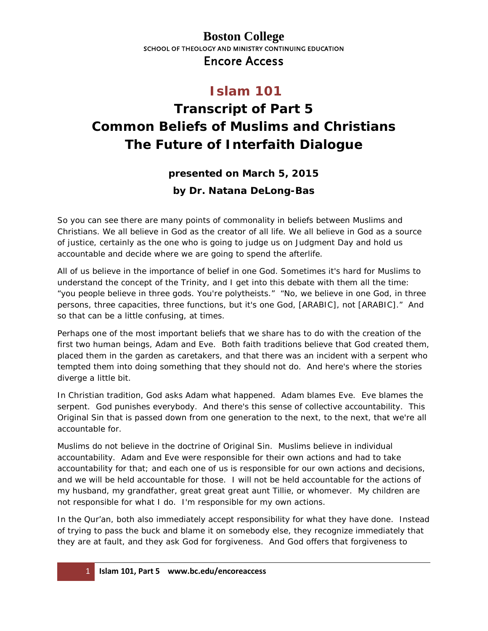#### **Boston College** SCHOOL OF THEOLOGY AND MINISTRY CONTINUING EDUCATION Encore Access

# **Islam 101**

# **Transcript of Part 5 Common Beliefs of Muslims and Christians The Future of Interfaith Dialogue**

#### **presented on March 5, 2015**

#### **by Dr. Natana DeLong-Bas**

So you can see there are many points of commonality in beliefs between Muslims and Christians. We all believe in God as the creator of all life. We all believe in God as a source of justice, certainly as the one who is going to judge us on Judgment Day and hold us accountable and decide where we are going to spend the afterlife.

All of us believe in the importance of belief in one God. Sometimes it's hard for Muslims to understand the concept of the Trinity, and I get into this debate with them all the time: "you people believe in three gods. You're polytheists." "No, we believe in one God, in three persons, three capacities, three functions, but it's one God, [ARABIC], not [ARABIC]." And so that can be a little confusing, at times.

Perhaps one of the most important beliefs that we share has to do with the creation of the first two human beings, Adam and Eve. Both faith traditions believe that God created them, placed them in the garden as caretakers, and that there was an incident with a serpent who tempted them into doing something that they should not do. And here's where the stories diverge a little bit.

In Christian tradition, God asks Adam what happened. Adam blames Eve. Eve blames the serpent. God punishes everybody. And there's this sense of collective accountability. This Original Sin that is passed down from one generation to the next, to the next, that we're all accountable for.

Muslims do not believe in the doctrine of Original Sin. Muslims believe in individual accountability. Adam and Eve were responsible for their own actions and had to take accountability for that; and each one of us is responsible for our own actions and decisions, and we will be held accountable for those. I will not be held accountable for the actions of my husband, my grandfather, great great great aunt Tillie, or whomever. My children are not responsible for what I do. I'm responsible for my own actions.

In the Qur'an, both also immediately accept responsibility for what they have done. Instead of trying to pass the buck and blame it on somebody else, they recognize immediately that they are at fault, and they ask God for forgiveness. And God offers that forgiveness to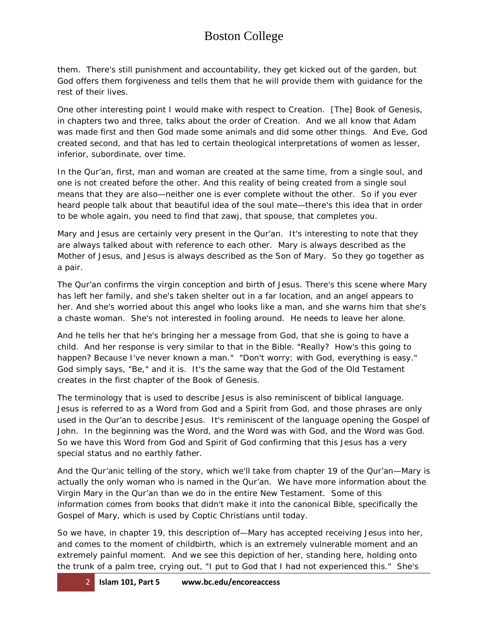## Boston College

them. There's still punishment and accountability, they get kicked out of the garden, but God offers them forgiveness and tells them that he will provide them with guidance for the rest of their lives.

One other interesting point I would make with respect to Creation. [The] Book of Genesis, in chapters two and three, talks about the order of Creation. And we all know that Adam was made first and then God made some animals and did some other things. And Eve, God created second, and that has led to certain theological interpretations of women as lesser, inferior, subordinate, over time.

In the Qur'an, first, man and woman are created at the same time, from a single soul, and one is not created before the other. And this reality of being created from a single soul means that they are also—neither one is ever complete without the other. So if you ever heard people talk about that beautiful idea of the soul mate—there's this idea that in order to be whole again, you need to find that *zawj*, that spouse, that completes you.

Mary and Jesus are certainly very present in the Qur'an. It's interesting to note that they are always talked about with reference to each other. Mary is always described as the Mother of Jesus, and Jesus is always described as the Son of Mary. So they go together as a pair.

The Qur'an confirms the virgin conception and birth of Jesus. There's this scene where Mary has left her family, and she's taken shelter out in a far location, and an angel appears to her. And she's worried about this angel who looks like a man, and she warns him that she's a chaste woman. She's not interested in fooling around. He needs to leave her alone.

And he tells her that he's bringing her a message from God, that she is going to have a child. And her response is very similar to that in the Bible. "Really? How's this going to happen? Because I've never known a man." "Don't worry; with God, everything is easy." God simply says, "Be," and it is. It's the same way that the God of the Old Testament creates in the first chapter of the Book of Genesis.

The terminology that is used to describe Jesus is also reminiscent of biblical language. Jesus is referred to as a Word from God and a Spirit from God, and those phrases are only used in the Qur'an to describe Jesus. It's reminiscent of the language opening the Gospel of John. In the beginning was the Word, and the Word was with God, and the Word was God. So we have this Word from God and Spirit of God confirming that this Jesus has a very special status and no earthly father.

And the Qur'anic telling of the story, which we'll take from chapter 19 of the Qur'an—Mary is actually the only woman who is named in the Qur'an. We have more information about the Virgin Mary in the Qur'an than we do in the entire New Testament. Some of this information comes from books that didn't make it into the canonical Bible, specifically the Gospel of Mary, which is used by Coptic Christians until today.

So we have, in chapter 19, this description of—Mary has accepted receiving Jesus into her, and comes to the moment of childbirth, which is an extremely vulnerable moment and an extremely painful moment. And we see this depiction of her, standing here, holding onto the trunk of a palm tree, crying out, "I put to God that I had not experienced this." She's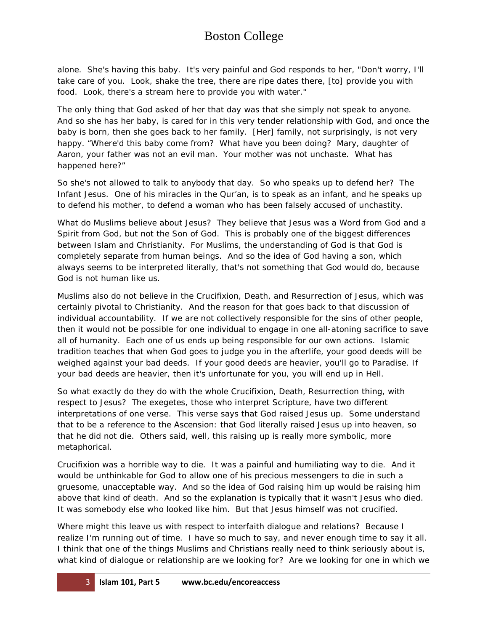### Boston College

alone. She's having this baby. It's very painful and God responds to her, "Don't worry, I'll take care of you. Look, shake the tree, there are ripe dates there, [to] provide you with food. Look, there's a stream here to provide you with water."

The only thing that God asked of her that day was that she simply not speak to anyone. And so she has her baby, is cared for in this very tender relationship with God, and once the baby is born, then she goes back to her family. [Her] family, not surprisingly, is not very happy. "Where'd this baby come from? What have you been doing? Mary, daughter of Aaron, your father was not an evil man. Your mother was not unchaste. What has happened here?"

So she's not allowed to talk to anybody that day. So who speaks up to defend her? The Infant Jesus. One of his miracles in the Qur'an, is to speak as an infant, and he speaks up to defend his mother, to defend a woman who has been falsely accused of unchastity.

What do Muslims believe about Jesus? They believe that Jesus was a Word from God and a Spirit from God, but not the Son of God. This is probably one of the biggest differences between Islam and Christianity. For Muslims, the understanding of God is that God is completely separate from human beings. And so the idea of God having a son, which always seems to be interpreted literally, that's not something that God would do, because God is not human like us.

Muslims also do not believe in the Crucifixion, Death, and Resurrection of Jesus, which was certainly pivotal to Christianity. And the reason for that goes back to that discussion of individual accountability. If we are not collectively responsible for the sins of other people, then it would not be possible for one individual to engage in one all-atoning sacrifice to save all of humanity. Each one of us ends up being responsible for our own actions. Islamic tradition teaches that when God goes to judge you in the afterlife, your good deeds will be weighed against your bad deeds. If your good deeds are heavier, you'll go to Paradise. If your bad deeds are heavier, then it's unfortunate for you, you will end up in Hell.

So what exactly do they do with the whole Crucifixion, Death, Resurrection thing, with respect to Jesus? The exegetes, those who interpret Scripture, have two different interpretations of one verse. This verse says that God raised Jesus up. Some understand that to be a reference to the Ascension: that God literally raised Jesus up into heaven, so that he did not die. Others said, well, this raising up is really more symbolic, more metaphorical.

Crucifixion was a horrible way to die. It was a painful and humiliating way to die. And it would be unthinkable for God to allow one of his precious messengers to die in such a gruesome, unacceptable way. And so the idea of God raising him up would be raising him above that kind of death. And so the explanation is typically that it wasn't Jesus who died. It was somebody else who looked like him. But that Jesus himself was not crucified.

Where might this leave us with respect to interfaith dialogue and relations? Because I realize I'm running out of time. I have so much to say, and never enough time to say it all. I think that one of the things Muslims and Christians really need to think seriously about is, what kind of dialogue or relationship are we looking for? Are we looking for one in which we